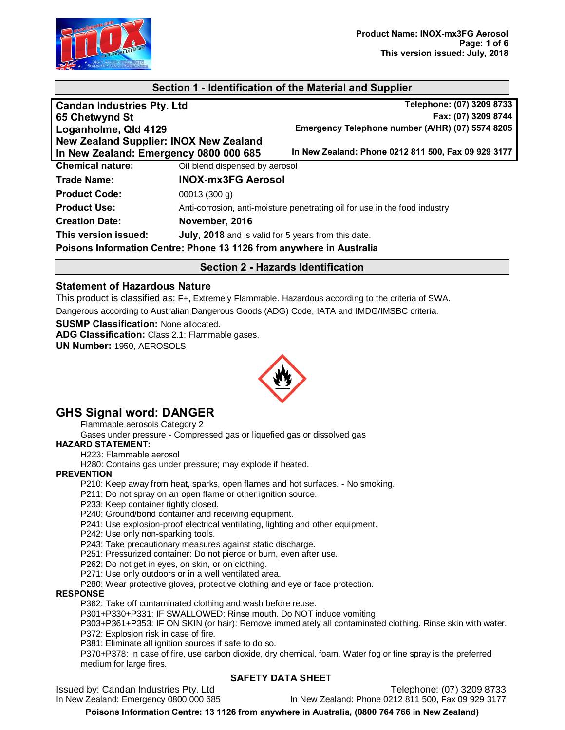

## **Section 1 - Identification of the Material and Supplier**

| <b>Candan Industries Pty. Ltd</b>                                    |                                                     | Telephone: (07) 3209 8733                                                  |
|----------------------------------------------------------------------|-----------------------------------------------------|----------------------------------------------------------------------------|
| 65 Chetwynd St                                                       |                                                     | Fax: (07) 3209 8744                                                        |
| Loganholme, Qld 4129                                                 |                                                     | Emergency Telephone number (A/HR) (07) 5574 8205                           |
| New Zealand Supplier: INOX New Zealand                               |                                                     |                                                                            |
| In New Zealand: Emergency 0800 000 685                               |                                                     | In New Zealand: Phone 0212 811 500, Fax 09 929 3177                        |
| <b>Chemical nature:</b>                                              | Oil blend dispensed by aerosol                      |                                                                            |
| <b>Trade Name:</b>                                                   | <b>INOX-mx3FG Aerosol</b>                           |                                                                            |
| <b>Product Code:</b>                                                 | 00013(300 g)                                        |                                                                            |
| <b>Product Use:</b>                                                  |                                                     | Anti-corrosion, anti-moisture penetrating oil for use in the food industry |
| <b>Creation Date:</b>                                                | November, 2016                                      |                                                                            |
| This version issued:                                                 | July, 2018 and is valid for 5 years from this date. |                                                                            |
| Poisons Information Centre: Phone 13 1126 from anywhere in Australia |                                                     |                                                                            |

## **Section 2 - Hazards Identification**

#### **Statement of Hazardous Nature**

This product is classified as: F+, Extremely Flammable. Hazardous according to the criteria of SWA. Dangerous according to Australian Dangerous Goods (ADG) Code, IATA and IMDG/IMSBC criteria.

**SUSMP Classification:** None allocated. **ADG Classification:** Class 2.1: Flammable gases. **UN Number:** 1950, AEROSOLS



# **GHS Signal word: DANGER**

Flammable aerosols Category 2

Gases under pressure - Compressed gas or liquefied gas or dissolved gas

#### **HAZARD STATEMENT:**

H223: Flammable aerosol

H280: Contains gas under pressure; may explode if heated.

#### **PREVENTION**

P210: Keep away from heat, sparks, open flames and hot surfaces. - No smoking.

- P211: Do not spray on an open flame or other ignition source.
- P233: Keep container tightly closed.

P240: Ground/bond container and receiving equipment.

- P241: Use explosion-proof electrical ventilating, lighting and other equipment.
- P242: Use only non-sparking tools.
- P243: Take precautionary measures against static discharge.
- P251: Pressurized container: Do not pierce or burn, even after use.
- P262: Do not get in eyes, on skin, or on clothing.
- P271: Use only outdoors or in a well ventilated area.
- P280: Wear protective gloves, protective clothing and eye or face protection.

#### **RESPONSE**

P362: Take off contaminated clothing and wash before reuse.

P301+P330+P331: IF SWALLOWED: Rinse mouth. Do NOT induce vomiting.

P303+P361+P353: IF ON SKIN (or hair): Remove immediately all contaminated clothing. Rinse skin with water. P372: Explosion risk in case of fire.

P381: Eliminate all ignition sources if safe to do so.

P370+P378: In case of fire, use carbon dioxide, dry chemical, foam. Water fog or fine spray is the preferred medium for large fires.

#### **SAFETY DATA SHEET**

Issued by: Candan Industries Pty. Ltd<br>In New Zealand: Phone 0212 811 500, Fax 09 929 3177<br>In New Zealand: Phone 0212 811 500, Fax 09 929 3177

In New Zealand: Phone 0212 811 500, Fax 09 929 3177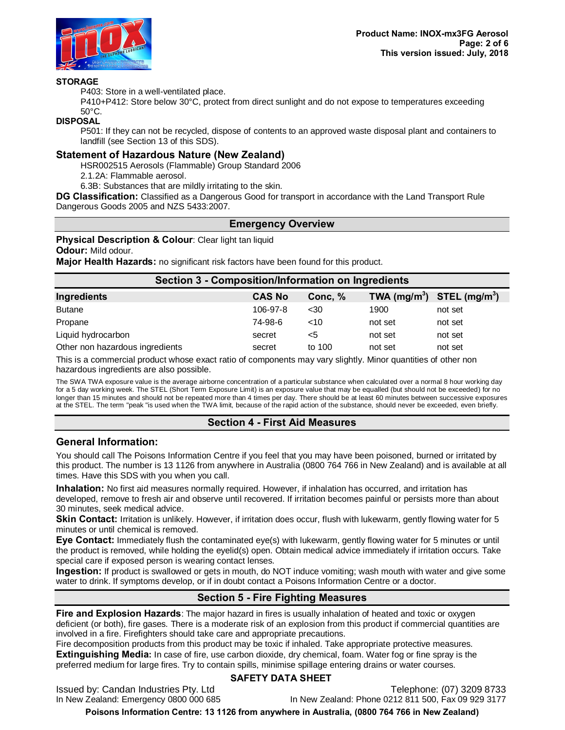

#### **STORAGE**

P403: Store in a well-ventilated place.

P410+P412: Store below 30°C, protect from direct sunlight and do not expose to temperatures exceeding 50°C.

#### **DISPOSAL**

P501: If they can not be recycled, dispose of contents to an approved waste disposal plant and containers to landfill (see Section 13 of this SDS).

#### **Statement of Hazardous Nature (New Zealand)**

HSR002515 Aerosols (Flammable) Group Standard 2006

2.1.2A: Flammable aerosol.

6.3B: Substances that are mildly irritating to the skin.

**DG Classification:** Classified as a Dangerous Good for transport in accordance with the Land Transport Rule Dangerous Goods 2005 and NZS 5433:2007.

#### **Emergency Overview**

**Physical Description & Colour: Clear light tan liquid** 

**Odour:** Mild odour.

**Major Health Hazards:** no significant risk factors have been found for this product.

| <b>Section 3 - Composition/Information on Ingredients</b> |               |         |                |                           |
|-----------------------------------------------------------|---------------|---------|----------------|---------------------------|
| Ingredients                                               | <b>CAS No</b> | Conc, % | TWA $(mg/m^3)$ | STEL (mg/m <sup>3</sup> ) |
| <b>Butane</b>                                             | 106-97-8      | $30$    | 1900           | not set                   |
| Propane                                                   | 74-98-6       | <10     | not set        | not set                   |
| Liquid hydrocarbon                                        | secret        | <5      | not set        | not set                   |
| Other non hazardous ingredients                           | secret        | to 100  | not set        | not set                   |

This is a commercial product whose exact ratio of components may vary slightly. Minor quantities of other non hazardous ingredients are also possible.

The SWA TWA exposure value is the average airborne concentration of a particular substance when calculated over a normal 8 hour working day for a 5 day working week. The STEL (Short Term Exposure Limit) is an exposure value that may be equalled (but should not be exceeded) for no longer than 15 minutes and should not be repeated more than 4 times per day. There should be at least 60 minutes between successive exposures at the STEL. The term "peak "is used when the TWA limit, because of the rapid action of the substance, should never be exceeded, even briefly.

## **Section 4 - First Aid Measures**

## **General Information:**

You should call The Poisons Information Centre if you feel that you may have been poisoned, burned or irritated by this product. The number is 13 1126 from anywhere in Australia (0800 764 766 in New Zealand) and is available at all times. Have this SDS with you when you call.

**Inhalation:** No first aid measures normally required. However, if inhalation has occurred, and irritation has developed, remove to fresh air and observe until recovered. If irritation becomes painful or persists more than about 30 minutes, seek medical advice.

**Skin Contact:** Irritation is unlikely. However, if irritation does occur, flush with lukewarm, gently flowing water for 5 minutes or until chemical is removed.

**Eye Contact:** Immediately flush the contaminated eye(s) with lukewarm, gently flowing water for 5 minutes or until the product is removed, while holding the eyelid(s) open. Obtain medical advice immediately if irritation occurs. Take special care if exposed person is wearing contact lenses.

**Ingestion:** If product is swallowed or gets in mouth, do NOT induce vomiting; wash mouth with water and give some water to drink. If symptoms develop, or if in doubt contact a Poisons Information Centre or a doctor.

# **Section 5 - Fire Fighting Measures**

**Fire and Explosion Hazards**: The major hazard in fires is usually inhalation of heated and toxic or oxygen deficient (or both), fire gases. There is a moderate risk of an explosion from this product if commercial quantities are involved in a fire. Firefighters should take care and appropriate precautions.

Fire decomposition products from this product may be toxic if inhaled. Take appropriate protective measures. **Extinguishing Media:** In case of fire, use carbon dioxide, dry chemical, foam. Water fog or fine spray is the preferred medium for large fires. Try to contain spills, minimise spillage entering drains or water courses.

#### **SAFETY DATA SHEET**

Issued by: Candan Industries Pty. Ltd<br>In New Zealand: Phone 0212 811 500, Fax 09 929 3177<br>In New Zealand: Phone 0212 811 500, Fax 09 929 3177

In New Zealand: Phone 0212 811 500, Fax 09 929 3177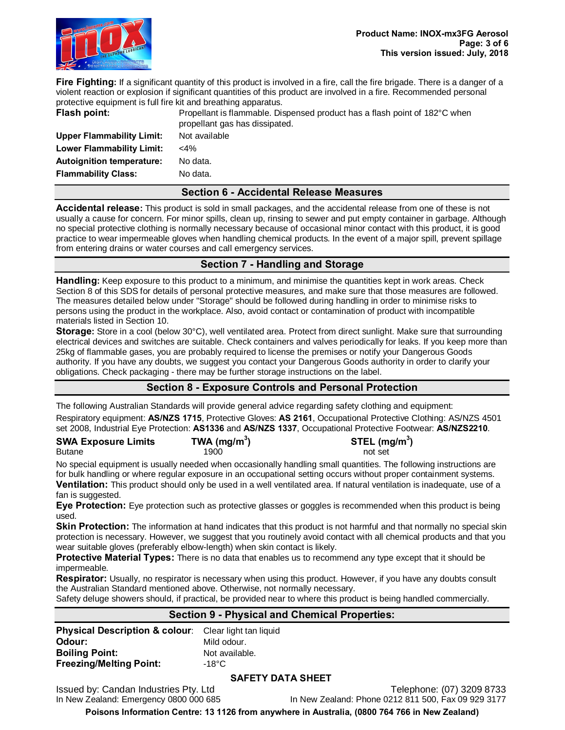

**Fire Fighting:** If a significant quantity of this product is involved in a fire, call the fire brigade. There is a danger of a violent reaction or explosion if significant quantities of this product are involved in a fire. Recommended personal protective equipment is full fire kit and breathing apparatus.

**Upper Flammability Limit:** Not available **Lower Flammability Limit:** <4% **Autoignition temperature:** No data. **Flammability Class:** No data.

**Flash point:** Propellant is flammable. Dispensed product has a flash point of 182°C when propellant gas has dissipated.

#### **Section 6 - Accidental Release Measures**

**Accidental release:** This product is sold in small packages, and the accidental release from one of these is not usually a cause for concern. For minor spills, clean up, rinsing to sewer and put empty container in garbage. Although no special protective clothing is normally necessary because of occasional minor contact with this product, it is good practice to wear impermeable gloves when handling chemical products. In the event of a major spill, prevent spillage from entering drains or water courses and call emergency services.

## **Section 7 - Handling and Storage**

**Handling:** Keep exposure to this product to a minimum, and minimise the quantities kept in work areas. Check Section 8 of this SDS for details of personal protective measures, and make sure that those measures are followed. The measures detailed below under "Storage" should be followed during handling in order to minimise risks to persons using the product in the workplace. Also, avoid contact or contamination of product with incompatible materials listed in Section 10.

**Storage:** Store in a cool (below 30°C), well ventilated area. Protect from direct sunlight. Make sure that surrounding electrical devices and switches are suitable. Check containers and valves periodically for leaks. If you keep more than 25kg of flammable gases, you are probably required to license the premises or notify your Dangerous Goods authority. If you have any doubts, we suggest you contact your Dangerous Goods authority in order to clarify your obligations. Check packaging - there may be further storage instructions on the label.

# **Section 8 - Exposure Controls and Personal Protection**

The following Australian Standards will provide general advice regarding safety clothing and equipment:

Respiratory equipment: **AS/NZS 1715**, Protective Gloves: **AS 2161**, Occupational Protective Clothing: AS/NZS 4501 set 2008, Industrial Eye Protection: **AS1336** and **AS/NZS 1337**, Occupational Protective Footwear: **AS/NZS2210**.

| <b>SWA Exposure Limits</b> | TWA ( $mg/m3$ ) | STEL (mg/m <sup>3</sup> ) |
|----------------------------|-----------------|---------------------------|
| <b>Butane</b>              | 1900            | not set                   |

No special equipment is usually needed when occasionally handling small quantities. The following instructions are for bulk handling or where regular exposure in an occupational setting occurs without proper containment systems. **Ventilation:** This product should only be used in a well ventilated area. If natural ventilation is inadequate, use of a fan is suggested.

**Eye Protection:** Eye protection such as protective glasses or goggles is recommended when this product is being used.

**Skin Protection:** The information at hand indicates that this product is not harmful and that normally no special skin protection is necessary. However, we suggest that you routinely avoid contact with all chemical products and that you wear suitable gloves (preferably elbow-length) when skin contact is likely.

**Protective Material Types:** There is no data that enables us to recommend any type except that it should be impermeable.

**Respirator:** Usually, no respirator is necessary when using this product. However, if you have any doubts consult the Australian Standard mentioned above. Otherwise, not normally necessary.

Safety deluge showers should, if practical, be provided near to where this product is being handled commercially.

#### **Section 9 - Physical and Chemical Properties:**

| <b>Physical Description &amp; colour:</b> Clear light tan liquid |
|------------------------------------------------------------------|
| Mild odour.                                                      |
| Not available.                                                   |
| -18°C $\,$                                                       |
|                                                                  |

#### **SAFETY DATA SHEET**

Issued by: Candan Industries Pty. Ltd<br>In New Zealand: Phone 0212 811 500, Fax 09 929 3177<br>In New Zealand: Phone 0212 811 500, Fax 09 929 3177

In New Zealand: Phone 0212 811 500, Fax 09 929 3177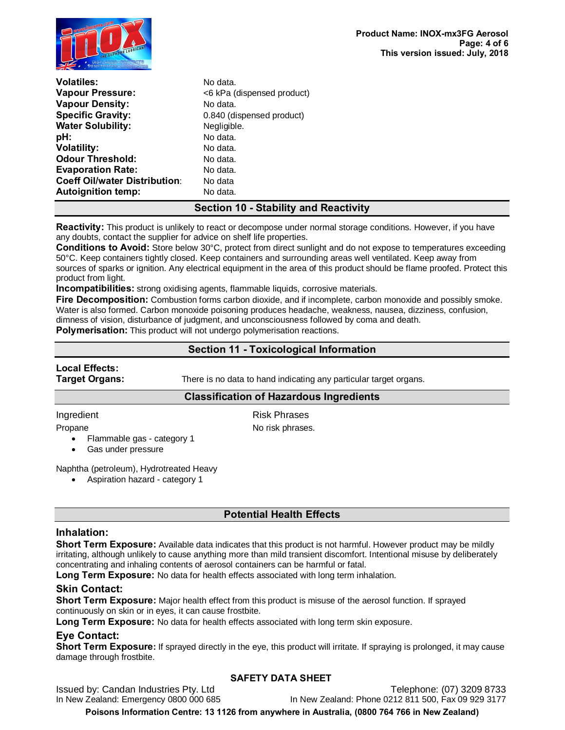

| <b>Volatiles:</b>                    | No data.                   |
|--------------------------------------|----------------------------|
|                                      |                            |
| <b>Vapour Pressure:</b>              | <6 kPa (dispensed product) |
| <b>Vapour Density:</b>               | No data.                   |
| <b>Specific Gravity:</b>             | 0.840 (dispensed product)  |
| <b>Water Solubility:</b>             | Negligible.                |
| pH:                                  | No data.                   |
| <b>Volatility:</b>                   | No data.                   |
| <b>Odour Threshold:</b>              | No data.                   |
| <b>Evaporation Rate:</b>             | No data.                   |
| <b>Coeff Oil/water Distribution:</b> | No data                    |
| <b>Autoignition temp:</b>            | No data.                   |

## **Section 10 - Stability and Reactivity**

**Reactivity:** This product is unlikely to react or decompose under normal storage conditions. However, if you have any doubts, contact the supplier for advice on shelf life properties.

**Conditions to Avoid:** Store below 30°C, protect from direct sunlight and do not expose to temperatures exceeding 50°C. Keep containers tightly closed. Keep containers and surrounding areas well ventilated. Keep away from sources of sparks or ignition. Any electrical equipment in the area of this product should be flame proofed. Protect this product from light.

**Incompatibilities:** strong oxidising agents, flammable liquids, corrosive materials.

**Fire Decomposition:** Combustion forms carbon dioxide, and if incomplete, carbon monoxide and possibly smoke. Water is also formed. Carbon monoxide poisoning produces headache, weakness, nausea, dizziness, confusion, dimness of vision, disturbance of judgment, and unconsciousness followed by coma and death.

**Polymerisation:** This product will not undergo polymerisation reactions.

## **Section 11 - Toxicological Information**

# **Local Effects:**

**Target Organs:** There is no data to hand indicating any particular target organs.

#### **Classification of Hazardous Ingredients**

#### Ingredient **Risk Phrases**

Propane No risk phrases.

- · Flammable gas category 1
- Gas under pressure

Naphtha (petroleum), Hydrotreated Heavy

· Aspiration hazard - category 1

# **Potential Health Effects**

## **Inhalation:**

**Short Term Exposure:** Available data indicates that this product is not harmful. However product may be mildly irritating, although unlikely to cause anything more than mild transient discomfort. Intentional misuse by deliberately concentrating and inhaling contents of aerosol containers can be harmful or fatal.

**Long Term Exposure:** No data for health effects associated with long term inhalation.

# **Skin Contact:**

**Short Term Exposure:** Major health effect from this product is misuse of the aerosol function. If sprayed continuously on skin or in eyes, it can cause frostbite.

**Long Term Exposure:** No data for health effects associated with long term skin exposure.

## **Eye Contact:**

**Short Term Exposure:** If sprayed directly in the eye, this product will irritate. If spraying is prolonged, it may cause damage through frostbite.

## **SAFETY DATA SHEET**

Issued by: Candan Industries Pty. Ltd<br>In New Zealand: Phone 0212 811 500, Fax 09 929 3177<br>In New Zealand: Phone 0212 811 500, Fax 09 929 3177

In New Zealand: Phone 0212 811 500, Fax 09 929 3177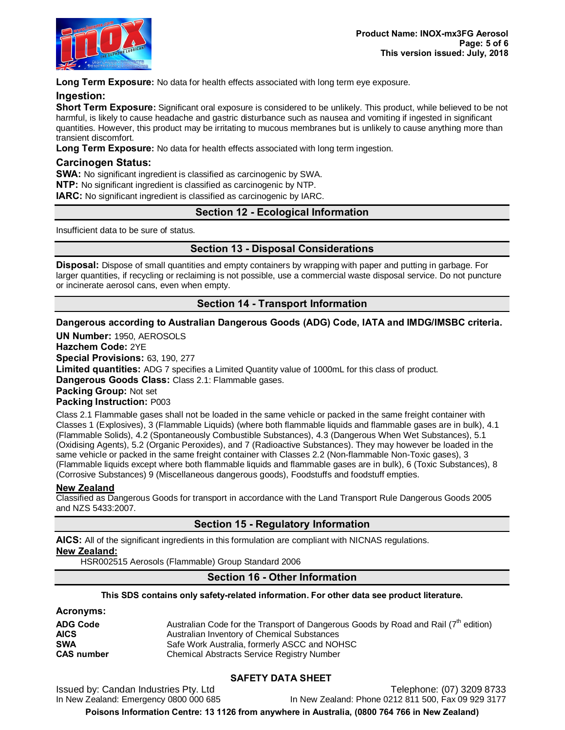

**Long Term Exposure:** No data for health effects associated with long term eye exposure.

#### **Ingestion:**

**Short Term Exposure:** Significant oral exposure is considered to be unlikely. This product, while believed to be not harmful, is likely to cause headache and gastric disturbance such as nausea and vomiting if ingested in significant quantities. However, this product may be irritating to mucous membranes but is unlikely to cause anything more than transient discomfort.

**Long Term Exposure:** No data for health effects associated with long term ingestion.

#### **Carcinogen Status:**

**SWA:** No significant ingredient is classified as carcinogenic by SWA.

**NTP:** No significant ingredient is classified as carcinogenic by NTP.

**IARC:** No significant ingredient is classified as carcinogenic by IARC.

## **Section 12 - Ecological Information**

Insufficient data to be sure of status.

# **Section 13 - Disposal Considerations**

**Disposal:** Dispose of small quantities and empty containers by wrapping with paper and putting in garbage. For larger quantities, if recycling or reclaiming is not possible, use a commercial waste disposal service. Do not puncture or incinerate aerosol cans, even when empty.

## **Section 14 - Transport Information**

## **Dangerous according to Australian Dangerous Goods (ADG) Code, IATA and IMDG/IMSBC criteria.**

**UN Number:** 1950, AEROSOLS

**Hazchem Code:** 2YE

**Special Provisions:** 63, 190, 277

**Limited quantities:** ADG 7 specifies a Limited Quantity value of 1000mL for this class of product.

**Dangerous Goods Class:** Class 2.1: Flammable gases.

**Packing Group:** Not set

#### **Packing Instruction:** P003

Class 2.1 Flammable gases shall not be loaded in the same vehicle or packed in the same freight container with Classes 1 (Explosives), 3 (Flammable Liquids) (where both flammable liquids and flammable gases are in bulk), 4.1 (Flammable Solids), 4.2 (Spontaneously Combustible Substances), 4.3 (Dangerous When Wet Substances), 5.1 (Oxidising Agents), 5.2 (Organic Peroxides), and 7 (Radioactive Substances). They may however be loaded in the same vehicle or packed in the same freight container with Classes 2.2 (Non-flammable Non-Toxic gases), 3 (Flammable liquids except where both flammable liquids and flammable gases are in bulk), 6 (Toxic Substances), 8 (Corrosive Substances) 9 (Miscellaneous dangerous goods), Foodstuffs and foodstuff empties.

#### **New Zealand**

Classified as Dangerous Goods for transport in accordance with the Land Transport Rule Dangerous Goods 2005 and NZS 5433:2007.

## **Section 15 - Regulatory Information**

**AICS:** All of the significant ingredients in this formulation are compliant with NICNAS regulations. **New Zealand:**

HSR002515 Aerosols (Flammable) Group Standard 2006

## **Section 16 - Other Information**

#### **This SDS contains only safety-related information. For other data see product literature.**

## **Acronyms:**

| <b>ADG Code</b>   | Australian Code for the Transport of Dangerous Goods by Road and Rail $(7th$ edition) |
|-------------------|---------------------------------------------------------------------------------------|
| AICS              | Australian Inventory of Chemical Substances                                           |
| <b>SWA</b>        | Safe Work Australia, formerly ASCC and NOHSC                                          |
| <b>CAS number</b> | Chemical Abstracts Service Registry Number                                            |

## **SAFETY DATA SHEET**

Issued by: Candan Industries Pty. Ltd<br>In New Zealand: Phone 0212 811 500, Fax 09 929 3177<br>In New Zealand: Phone 0212 811 500, Fax 09 929 3177

In New Zealand: Phone 0212 811 500, Fax 09 929 3177